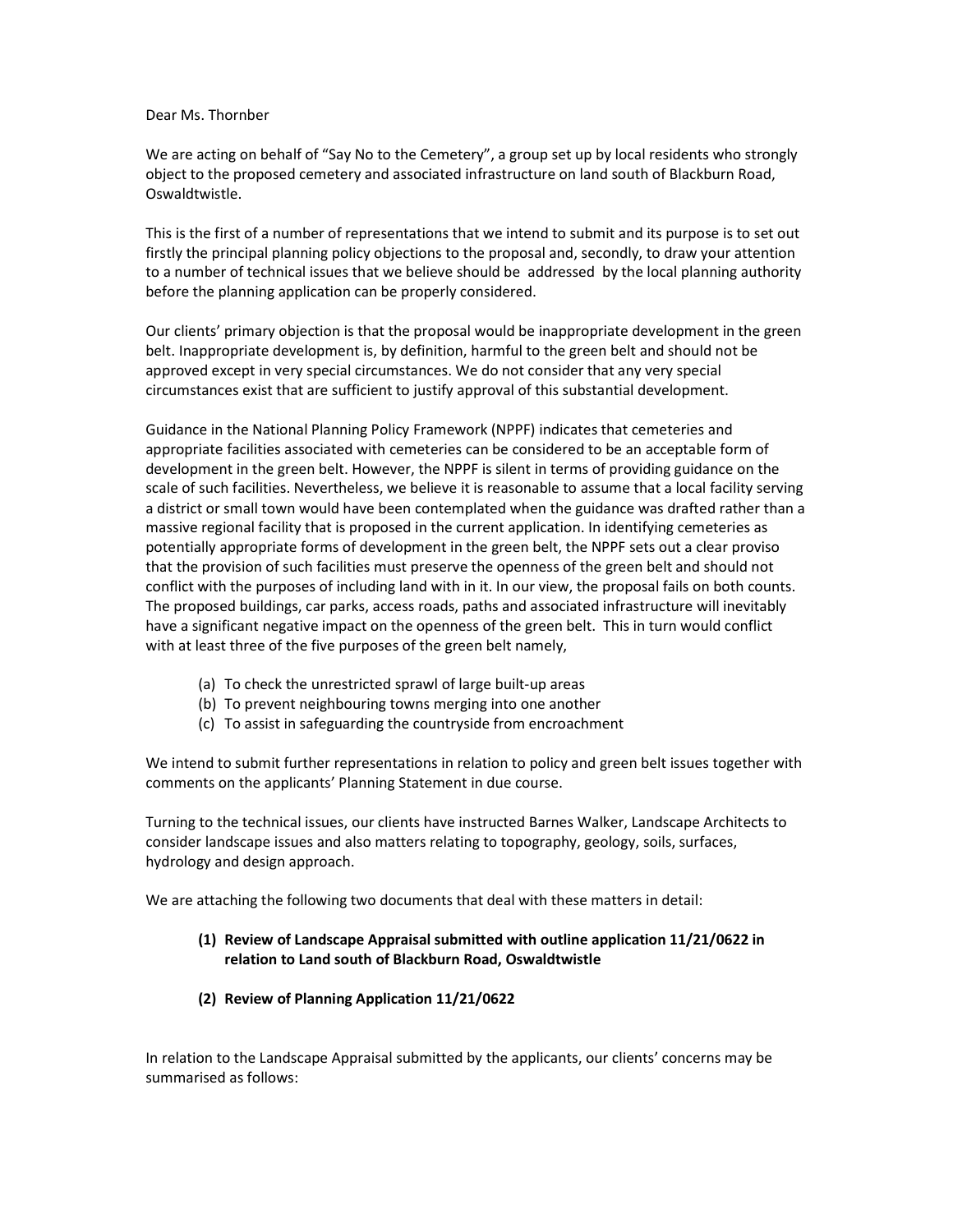## Dear Ms. Thornber

We are acting on behalf of "Say No to the Cemetery", a group set up by local residents who strongly object to the proposed cemetery and associated infrastructure on land south of Blackburn Road, Oswaldtwistle.

This is the first of a number of representations that we intend to submit and its purpose is to set out firstly the principal planning policy objections to the proposal and, secondly, to draw your attention to a number of technical issues that we believe should be addressed by the local planning authority before the planning application can be properly considered.

Our clients' primary objection is that the proposal would be inappropriate development in the green belt. Inappropriate development is, by definition, harmful to the green belt and should not be approved except in very special circumstances. We do not consider that any very special circumstances exist that are sufficient to justify approval of this substantial development.

Guidance in the National Planning Policy Framework (NPPF) indicates that cemeteries and appropriate facilities associated with cemeteries can be considered to be an acceptable form of development in the green belt. However, the NPPF is silent in terms of providing guidance on the scale of such facilities. Nevertheless, we believe it is reasonable to assume that a local facility serving a district or small town would have been contemplated when the guidance was drafted rather than a massive regional facility that is proposed in the current application. In identifying cemeteries as potentially appropriate forms of development in the green belt, the NPPF sets out a clear proviso that the provision of such facilities must preserve the openness of the green belt and should not conflict with the purposes of including land with in it. In our view, the proposal fails on both counts. The proposed buildings, car parks, access roads, paths and associated infrastructure will inevitably have a significant negative impact on the openness of the green belt. This in turn would conflict with at least three of the five purposes of the green belt namely,

- (a) To check the unrestricted sprawl of large built-up areas
- (b) To prevent neighbouring towns merging into one another
- (c) To assist in safeguarding the countryside from encroachment

We intend to submit further representations in relation to policy and green belt issues together with comments on the applicants' Planning Statement in due course.

Turning to the technical issues, our clients have instructed Barnes Walker, Landscape Architects to consider landscape issues and also matters relating to topography, geology, soils, surfaces, hydrology and design approach.

We are attaching the following two documents that deal with these matters in detail:

# (1) Review of Landscape Appraisal submitted with outline application 11/21/0622 in relation to Land south of Blackburn Road, Oswaldtwistle

(2) Review of Planning Application 11/21/0622

In relation to the Landscape Appraisal submitted by the applicants, our clients' concerns may be summarised as follows: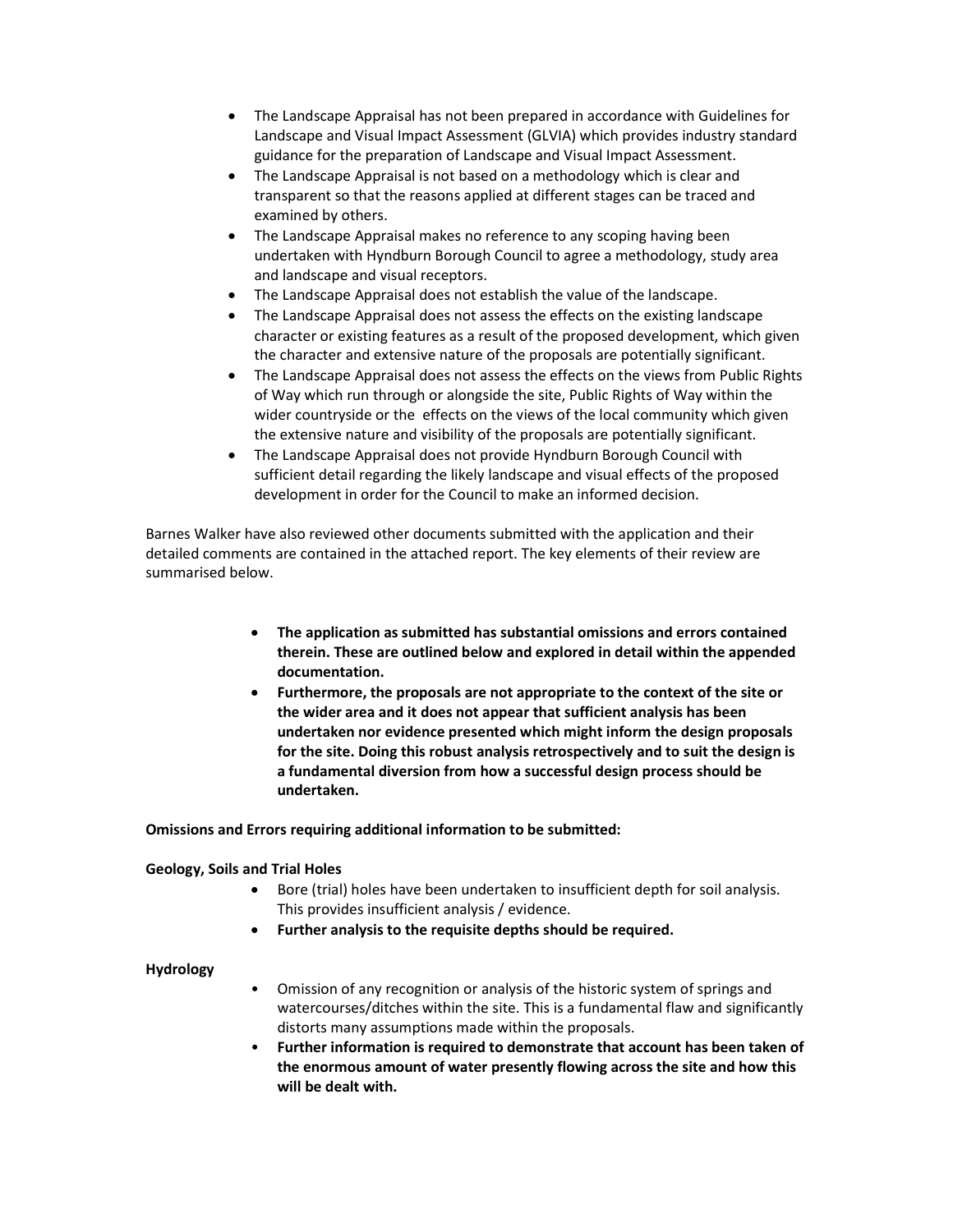- The Landscape Appraisal has not been prepared in accordance with Guidelines for Landscape and Visual Impact Assessment (GLVIA) which provides industry standard guidance for the preparation of Landscape and Visual Impact Assessment.
- The Landscape Appraisal is not based on a methodology which is clear and transparent so that the reasons applied at different stages can be traced and examined by others.
- The Landscape Appraisal makes no reference to any scoping having been undertaken with Hyndburn Borough Council to agree a methodology, study area and landscape and visual receptors.
- The Landscape Appraisal does not establish the value of the landscape.
- The Landscape Appraisal does not assess the effects on the existing landscape character or existing features as a result of the proposed development, which given the character and extensive nature of the proposals are potentially significant.
- The Landscape Appraisal does not assess the effects on the views from Public Rights of Way which run through or alongside the site, Public Rights of Way within the wider countryside or the effects on the views of the local community which given the extensive nature and visibility of the proposals are potentially significant.
- The Landscape Appraisal does not provide Hyndburn Borough Council with sufficient detail regarding the likely landscape and visual effects of the proposed development in order for the Council to make an informed decision.

Barnes Walker have also reviewed other documents submitted with the application and their detailed comments are contained in the attached report. The key elements of their review are summarised below.

- The application as submitted has substantial omissions and errors contained therein. These are outlined below and explored in detail within the appended documentation.
- Furthermore, the proposals are not appropriate to the context of the site or the wider area and it does not appear that sufficient analysis has been undertaken nor evidence presented which might inform the design proposals for the site. Doing this robust analysis retrospectively and to suit the design is a fundamental diversion from how a successful design process should be undertaken.

Omissions and Errors requiring additional information to be submitted:

# Geology, Soils and Trial Holes

- Bore (trial) holes have been undertaken to insufficient depth for soil analysis. This provides insufficient analysis / evidence.
- Further analysis to the requisite depths should be required.

## Hydrology

- Omission of any recognition or analysis of the historic system of springs and watercourses/ditches within the site. This is a fundamental flaw and significantly distorts many assumptions made within the proposals.
- Further information is required to demonstrate that account has been taken of the enormous amount of water presently flowing across the site and how this will be dealt with.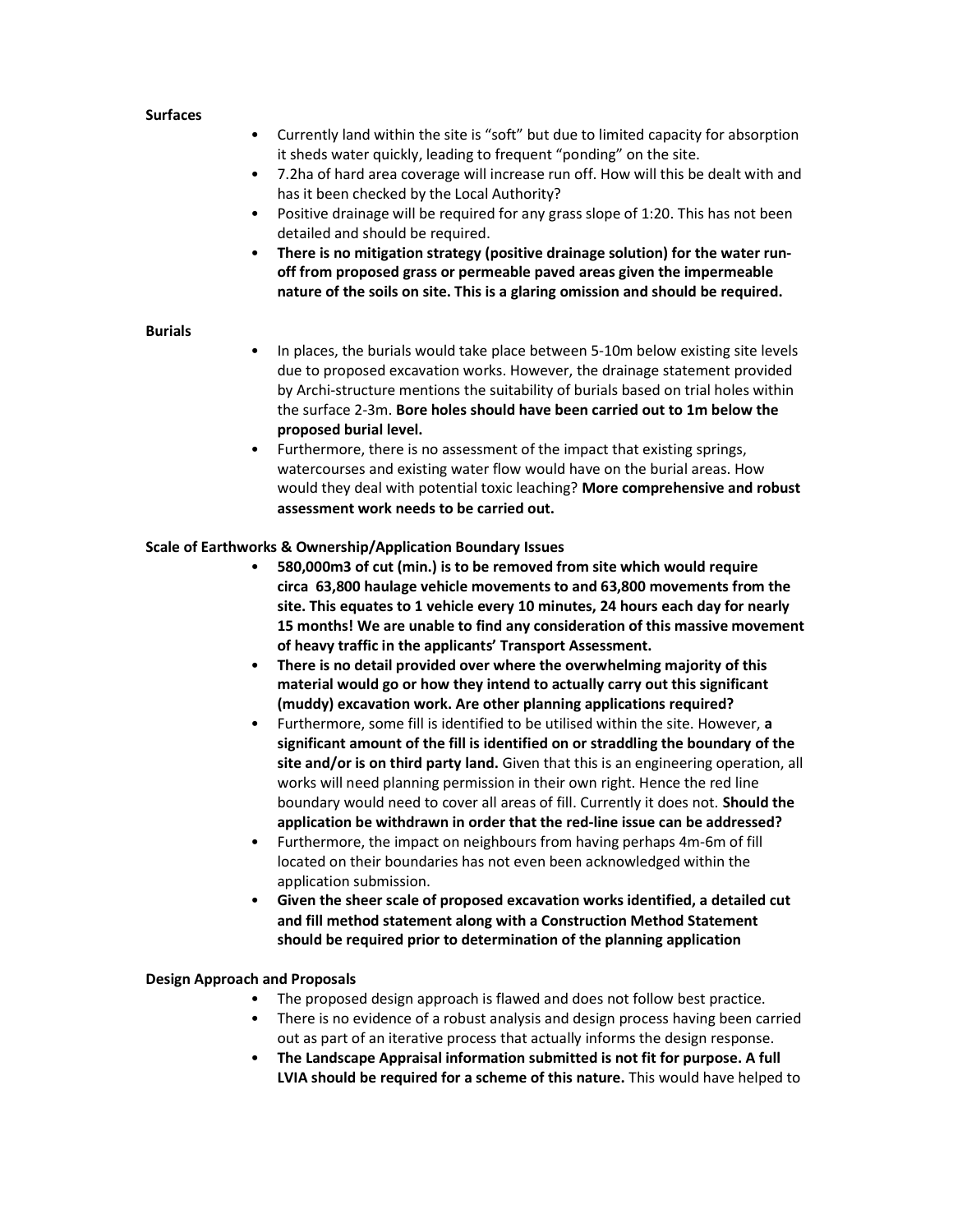### **Surfaces**

- Currently land within the site is "soft" but due to limited capacity for absorption it sheds water quickly, leading to frequent "ponding" on the site.
- 7.2ha of hard area coverage will increase run off. How will this be dealt with and has it been checked by the Local Authority?
- Positive drainage will be required for any grass slope of 1:20. This has not been detailed and should be required.
- There is no mitigation strategy (positive drainage solution) for the water runoff from proposed grass or permeable paved areas given the impermeable nature of the soils on site. This is a glaring omission and should be required.

### Burials

- In places, the burials would take place between 5-10m below existing site levels due to proposed excavation works. However, the drainage statement provided by Archi-structure mentions the suitability of burials based on trial holes within the surface 2-3m. Bore holes should have been carried out to 1m below the proposed burial level.
- Furthermore, there is no assessment of the impact that existing springs, watercourses and existing water flow would have on the burial areas. How would they deal with potential toxic leaching? More comprehensive and robust assessment work needs to be carried out.

## Scale of Earthworks & Ownership/Application Boundary Issues

- 580,000m3 of cut (min.) is to be removed from site which would require circa 63,800 haulage vehicle movements to and 63,800 movements from the site. This equates to 1 vehicle every 10 minutes, 24 hours each day for nearly 15 months! We are unable to find any consideration of this massive movement of heavy traffic in the applicants' Transport Assessment.
- There is no detail provided over where the overwhelming majority of this material would go or how they intend to actually carry out this significant (muddy) excavation work. Are other planning applications required?
- Furthermore, some fill is identified to be utilised within the site. However, a significant amount of the fill is identified on or straddling the boundary of the site and/or is on third party land. Given that this is an engineering operation, all works will need planning permission in their own right. Hence the red line boundary would need to cover all areas of fill. Currently it does not. Should the application be withdrawn in order that the red-line issue can be addressed?
- Furthermore, the impact on neighbours from having perhaps 4m-6m of fill located on their boundaries has not even been acknowledged within the application submission.
- Given the sheer scale of proposed excavation works identified, a detailed cut and fill method statement along with a Construction Method Statement should be required prior to determination of the planning application

## Design Approach and Proposals

- The proposed design approach is flawed and does not follow best practice.
- There is no evidence of a robust analysis and design process having been carried out as part of an iterative process that actually informs the design response.
- The Landscape Appraisal information submitted is not fit for purpose. A full LVIA should be required for a scheme of this nature. This would have helped to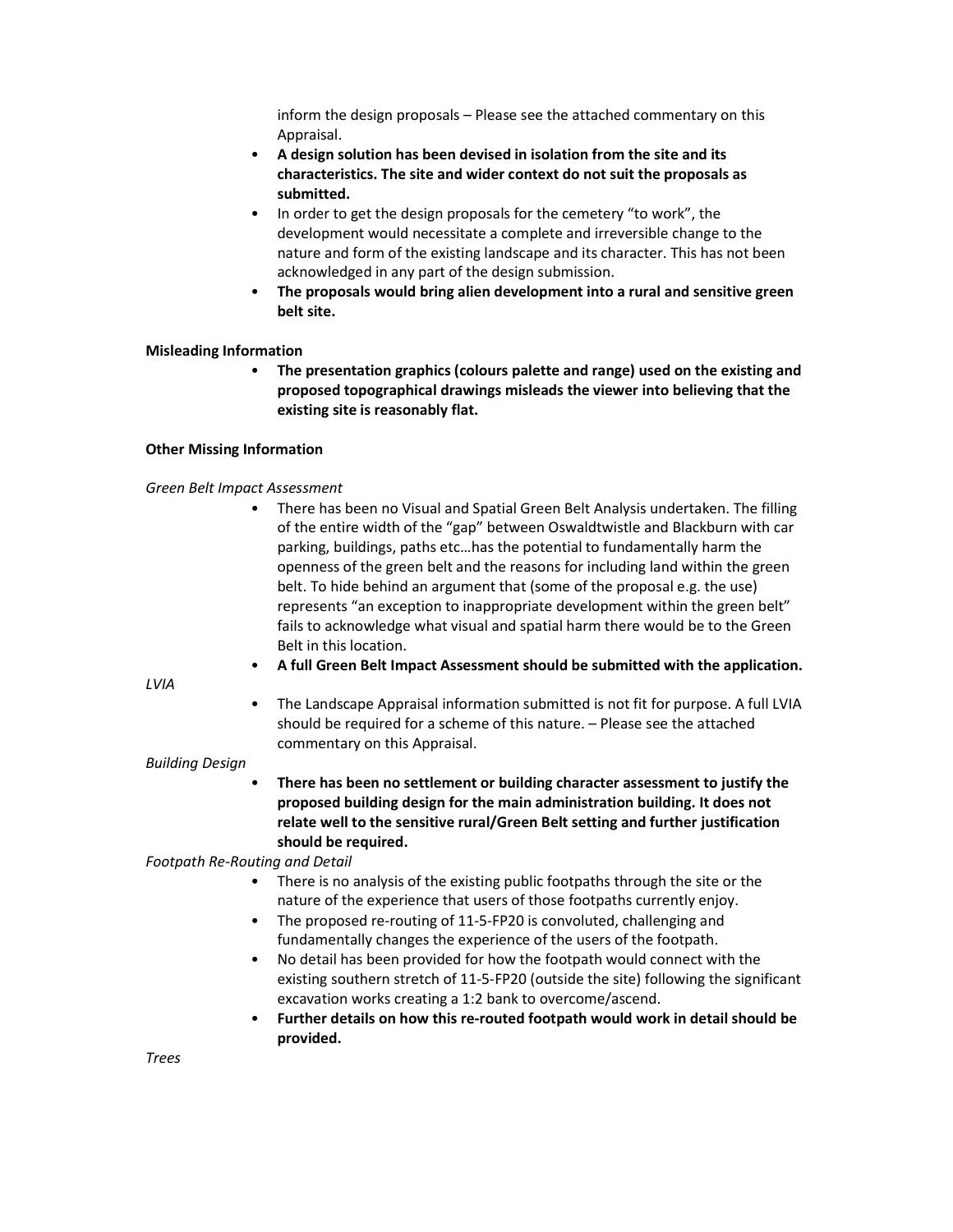inform the design proposals – Please see the attached commentary on this Appraisal.

- A design solution has been devised in isolation from the site and its characteristics. The site and wider context do not suit the proposals as submitted.
- In order to get the design proposals for the cemetery "to work", the development would necessitate a complete and irreversible change to the nature and form of the existing landscape and its character. This has not been acknowledged in any part of the design submission.
- The proposals would bring alien development into a rural and sensitive green belt site.

### Misleading Information

• The presentation graphics (colours palette and range) used on the existing and proposed topographical drawings misleads the viewer into believing that the existing site is reasonably flat.

## Other Missing Information

## Green Belt Impact Assessment

• There has been no Visual and Spatial Green Belt Analysis undertaken. The filling of the entire width of the "gap" between Oswaldtwistle and Blackburn with car parking, buildings, paths etc…has the potential to fundamentally harm the openness of the green belt and the reasons for including land within the green belt. To hide behind an argument that (some of the proposal e.g. the use) represents "an exception to inappropriate development within the green belt" fails to acknowledge what visual and spatial harm there would be to the Green Belt in this location.

LVIA

• The Landscape Appraisal information submitted is not fit for purpose. A full LVIA should be required for a scheme of this nature. – Please see the attached commentary on this Appraisal.

• A full Green Belt Impact Assessment should be submitted with the application.

### Building Design

• There has been no settlement or building character assessment to justify the proposed building design for the main administration building. It does not relate well to the sensitive rural/Green Belt setting and further justification should be required.

Footpath Re-Routing and Detail

- There is no analysis of the existing public footpaths through the site or the nature of the experience that users of those footpaths currently enjoy.
- The proposed re-routing of 11-5-FP20 is convoluted, challenging and fundamentally changes the experience of the users of the footpath.
- No detail has been provided for how the footpath would connect with the existing southern stretch of 11-5-FP20 (outside the site) following the significant excavation works creating a 1:2 bank to overcome/ascend.
- Further details on how this re-routed footpath would work in detail should be provided.

Trees